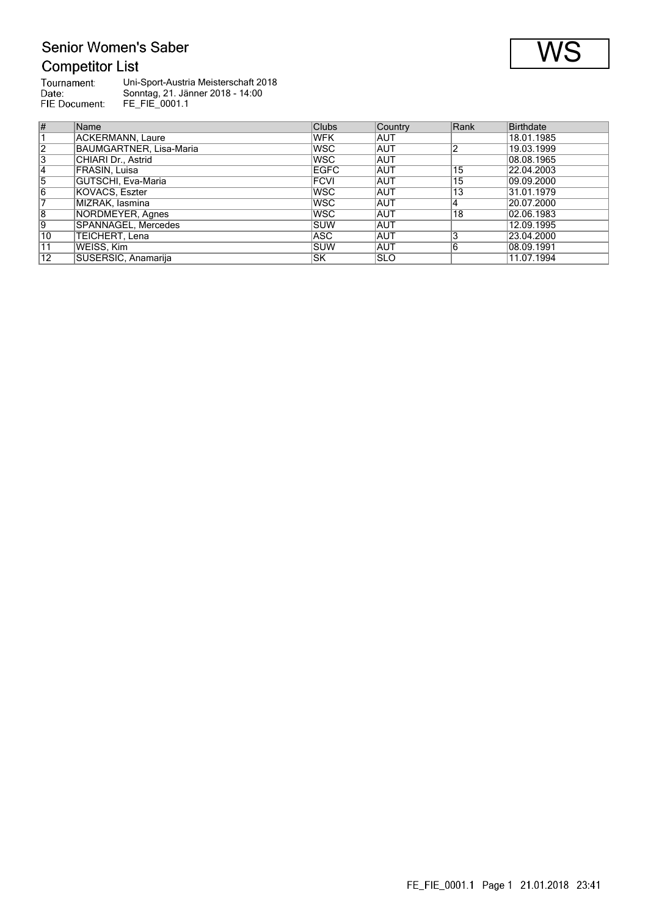### Senior Women's Saber Competitor List

| <b>COMPETION LIST</b>                 |                                                                                           |
|---------------------------------------|-------------------------------------------------------------------------------------------|
| Tournament:<br>Date:<br>FIE Document: | Uni-Sport-Austria Meisterschaft 2018<br>Sonntag, 21. Jänner 2018 - 14:00<br>FE FIE 0001.1 |
|                                       |                                                                                           |

| #              | Name                    | <b>Clubs</b> | <b>Country</b> | Rank | <b>Birthdate</b> |
|----------------|-------------------------|--------------|----------------|------|------------------|
|                | ACKERMANN, Laure        | <b>WFK</b>   | IAUT           |      | 18.01.1985       |
| $\sqrt{2}$     | BAUMGARTNER, Lisa-Maria | <b>WSC</b>   | <b>AUT</b>     | າ    | 19.03.1999       |
| $\overline{3}$ | CHIARI Dr., Astrid      | <b>WSC</b>   | <b>AUT</b>     |      | 08.08.1965       |
| 14             | FRASIN, Luisa           | <b>EGFC</b>  | <b>AUT</b>     | 15   | 22.04.2003       |
| 5              | GUTSCHI, Eva-Maria      | <b>FCVI</b>  | <b>AUT</b>     | 15   | 09.09.2000       |
| 16             | KOVACS, Eszter          | <b>WSC</b>   | <b>AUT</b>     | 13   | 31.01.1979       |
|                | MIZRAK. Iasmina         | <b>WSC</b>   | <b>AUT</b>     | 14   | 20.07.2000       |
| 18             | NORDMEYER, Agnes        | <b>WSC</b>   | <b>AUT</b>     | 18   | 02.06.1983       |
| 9              | SPANNAGEL, Mercedes     | <b>SUW</b>   | <b>AUT</b>     |      | 12.09.1995       |
| $ 10\rangle$   | TEICHERT, Lena          | ASC.         | <b>AUT</b>     | 3    | 23.04.2000       |
| 11             | WEISS, Kim              | <b>SUW</b>   | <b>AUT</b>     | 6    | 08.09.1991       |
| 12             | SUSERSIC, Anamarija     | <b>SK</b>    | <b>ISLO</b>    |      | 11.07.1994       |

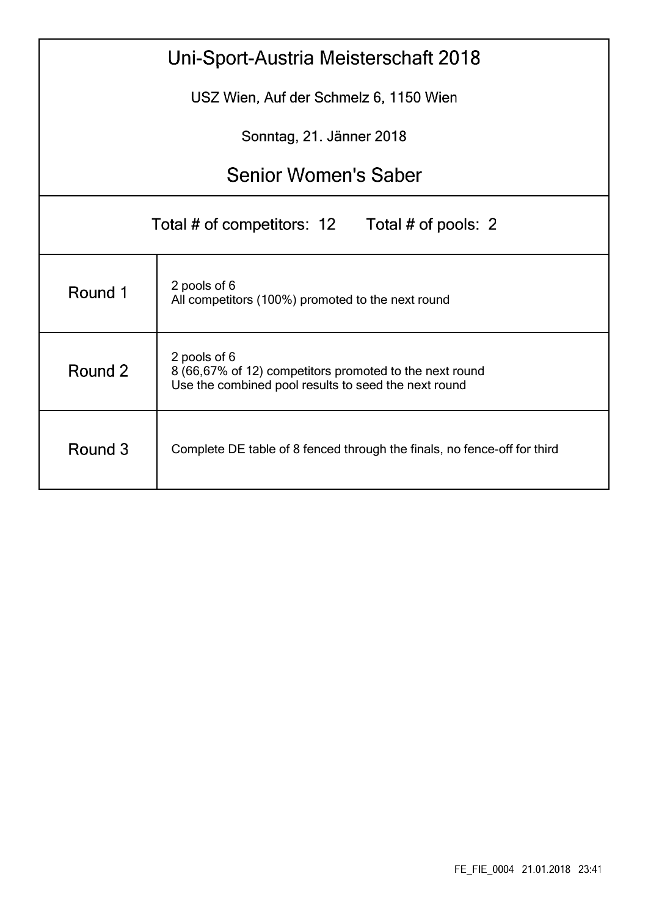| Uni-Sport-Austria Meisterschaft 2018                                                                                                       |                                                                   |  |  |  |  |  |  |  |
|--------------------------------------------------------------------------------------------------------------------------------------------|-------------------------------------------------------------------|--|--|--|--|--|--|--|
|                                                                                                                                            | USZ Wien, Auf der Schmelz 6, 1150 Wien                            |  |  |  |  |  |  |  |
|                                                                                                                                            | Sonntag, 21. Jänner 2018                                          |  |  |  |  |  |  |  |
|                                                                                                                                            | <b>Senior Women's Saber</b>                                       |  |  |  |  |  |  |  |
| Total # of competitors: 12<br>Total # of pools: 2                                                                                          |                                                                   |  |  |  |  |  |  |  |
| Round 1                                                                                                                                    | 2 pools of 6<br>All competitors (100%) promoted to the next round |  |  |  |  |  |  |  |
| 2 pools of 6<br>Round 2<br>8 (66,67% of 12) competitors promoted to the next round<br>Use the combined pool results to seed the next round |                                                                   |  |  |  |  |  |  |  |
| Round 3<br>Complete DE table of 8 fenced through the finals, no fence-off for third                                                        |                                                                   |  |  |  |  |  |  |  |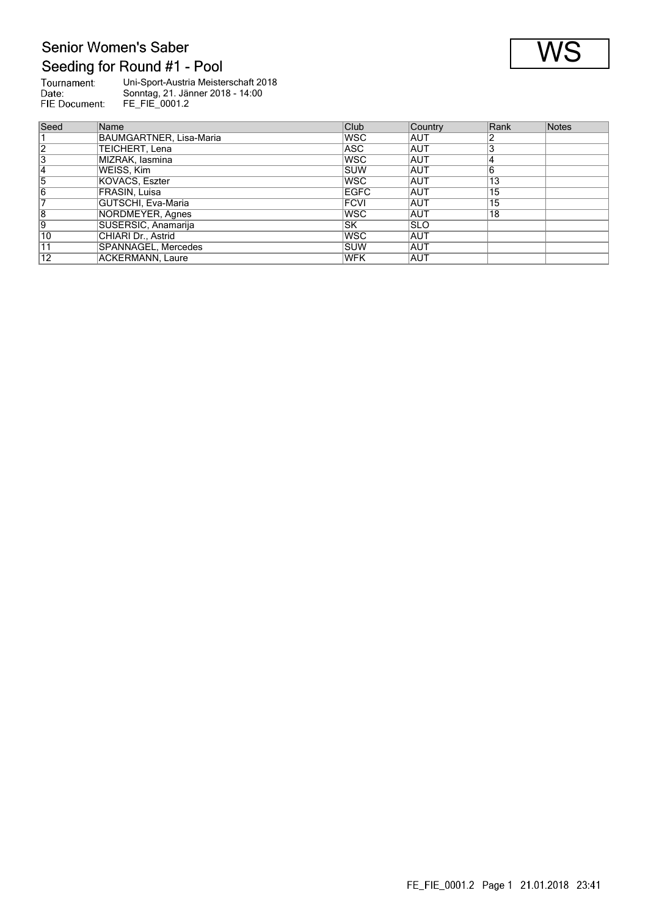# Senior Women's Saber Seeding for Round #1 - Pool

| Tournament:   | Uni-Sport-Austria Meisterschaft 2018 |
|---------------|--------------------------------------|
| Date:         | Sonntag, 21. Jänner 2018 - 14:00     |
| FIE Document: | FE FIE 0001.2                        |

| Seed            | Name                    | <b>Club</b> | Country     | Rank | Notes |
|-----------------|-------------------------|-------------|-------------|------|-------|
|                 | BAUMGARTNER, Lisa-Maria | lwsc        | <b>AUT</b>  |      |       |
| 12              | TEICHERT, Lena          | ASC         | AUT         |      |       |
| 3               | MIZRAK, lasmina         | <b>WSC</b>  | AUT         |      |       |
| 14              | WEISS, Kim              | <b>ISUW</b> | AUT         | 6    |       |
| 5               | KOVACS, Eszter          | <b>WSC</b>  | <b>AUT</b>  | 13   |       |
| 16              | FRASIN, Luisa           | <b>EGFC</b> | AUT         | 15   |       |
|                 | GUTSCHI, Eva-Maria      | <b>FCVI</b> | AUT         | 15   |       |
| 8               | NORDMEYER, Agnes        | lwsc        | AUT         | 18   |       |
| 19              | SUSERSIC, Anamarija     | lsk         | <b>ISLO</b> |      |       |
| 10              | CHIARI Dr., Astrid      | lwsc        | <b>AUT</b>  |      |       |
| 11              | SPANNAGEL, Mercedes     | <b>ISUW</b> | AUT         |      |       |
| $\overline{12}$ | ACKERMANN. Laure        | <b>WFK</b>  | <b>AUT</b>  |      |       |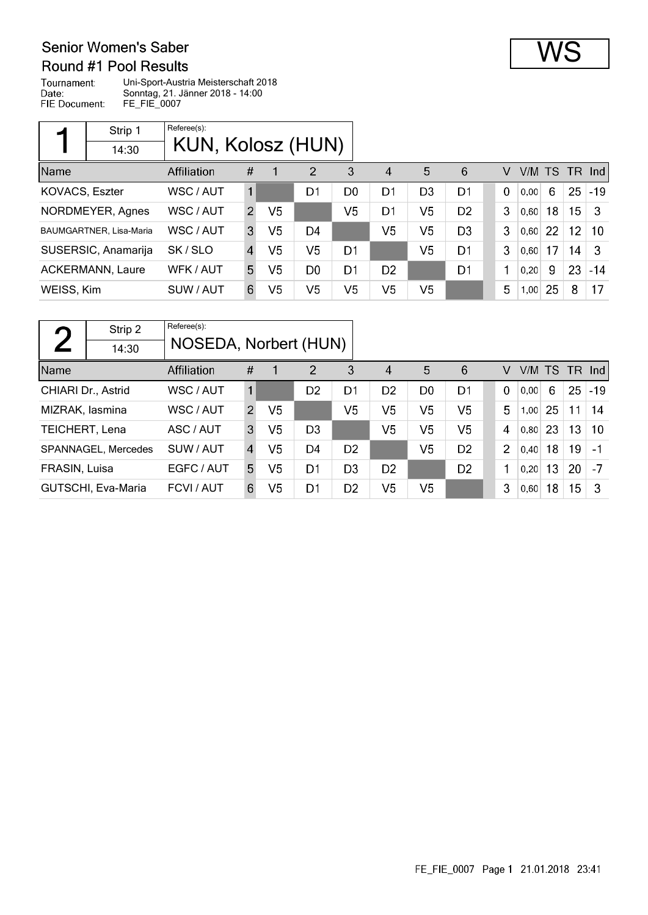#### Senior Women's Saber Round #1 Pool Results

Tournament: Uni-Sport-Austria Meisterschaft 2018 Date: Sonntag, 21. Jänner 2018 - 14:00 FIE Document: FE\_FIE\_0007

|                | Strip 1                        | Referee(s):       |                |                |                |                |                        |                |                |             |        |    |                 |        |
|----------------|--------------------------------|-------------------|----------------|----------------|----------------|----------------|------------------------|----------------|----------------|-------------|--------|----|-----------------|--------|
|                | 14:30                          | KUN, Kolosz (HUN) |                |                |                |                |                        |                |                |             |        |    |                 |        |
| Name           |                                | Affiliation       | #              |                | $\overline{2}$ | 3              | $\boldsymbol{\Lambda}$ | 5              | 6              | v           | V/M TS |    | TR.             | -Ind l |
| KOVACS, Eszter |                                | WSC / AUT         | 1              |                | D1             | D <sub>0</sub> | D1                     | D <sub>3</sub> | D <sub>1</sub> | $\mathbf 0$ | 0,00   | 6  | 25              | $-19$  |
|                | NORDMEYER, Agnes               | WSC / AUT         | $\mathcal{P}$  | V <sub>5</sub> |                | V <sub>5</sub> | D1                     | V <sub>5</sub> | D <sub>2</sub> | 3           | 0,60   | 18 | 15              | -3     |
|                | <b>BAUMGARTNER, Lisa-Maria</b> | WSC / AUT         | 3              | V5             | D4             |                | V <sub>5</sub>         | V5             | D <sub>3</sub> | 3           | 0,60   | 22 | 12 <sub>2</sub> | -10    |
|                | SUSERSIC, Anamarija            | SK/SLO            | $\overline{4}$ | V <sub>5</sub> | V <sub>5</sub> | D1             |                        | V <sub>5</sub> | D <sub>1</sub> | 3           | 0,60   | 17 | 14              | -3     |
|                | <b>ACKERMANN, Laure</b>        | WFK / AUT         | 5.             | V <sub>5</sub> | D <sub>0</sub> | D <sub>1</sub> | D <sub>2</sub>         |                | D <sub>1</sub> | 1           | 0,20   | 9  | 23              | $-14$  |
| WEISS, Kim     |                                | SUW / AUT         | 6              | V5             | V <sub>5</sub> | V <sub>5</sub> | V <sub>5</sub>         | V <sub>5</sub> |                | 5           | 1,00   | 25 | 8               | 17     |

| $\Gamma$           | Strip 2             | Referee(s):           |                |                |                |                |                |                |                |                |        |     |     |       |
|--------------------|---------------------|-----------------------|----------------|----------------|----------------|----------------|----------------|----------------|----------------|----------------|--------|-----|-----|-------|
|                    | 14:30               | NOSEDA, Norbert (HUN) |                |                |                |                |                |                |                |                |        |     |     |       |
| Name               |                     | Affiliation           | #              | 1              | 2              | 3              | 4              | 5              | 6              | V              | V/M TS |     | TR. | Ind   |
| CHIARI Dr., Astrid |                     | WSC / AUT             | $\mathbf{1}$   |                | D <sub>2</sub> | D <sub>1</sub> | D <sub>2</sub> | D <sub>0</sub> | D1             | $\mathbf 0$    | 0.00   | 6   | 25  | $-19$ |
| MIZRAK, lasmina    |                     | WSC / AUT             | 2              | V <sub>5</sub> |                | V <sub>5</sub> | V <sub>5</sub> | V <sub>5</sub> | V <sub>5</sub> | 5              | 1,00   | 25  | 11  | 14    |
| TEICHERT, Lena     |                     | ASC / AUT             | 3              | V <sub>5</sub> | D <sub>3</sub> |                | V <sub>5</sub> | V <sub>5</sub> | V <sub>5</sub> | 4              | 0,80   | -23 | 13  | 10    |
|                    | SPANNAGEL, Mercedes | SUW / AUT             | $\overline{4}$ | V <sub>5</sub> | D4             | D <sub>2</sub> |                | V <sub>5</sub> | D <sub>2</sub> | $\overline{2}$ | 0,40   | 18  | 19  | $-1$  |
| FRASIN, Luisa      |                     | EGFC / AUT            | 5              | V5             | D1             | D <sub>3</sub> | D <sub>2</sub> |                | D <sub>2</sub> | 1              | 0.20   | 13  | 20  | -7    |
|                    | GUTSCHI, Eva-Maria  | FCVI / AUT            | 6              | V <sub>5</sub> | D1             | D <sub>2</sub> | V5             | V <sub>5</sub> |                | 3              | 0.60   | 18  | 15  | -3    |

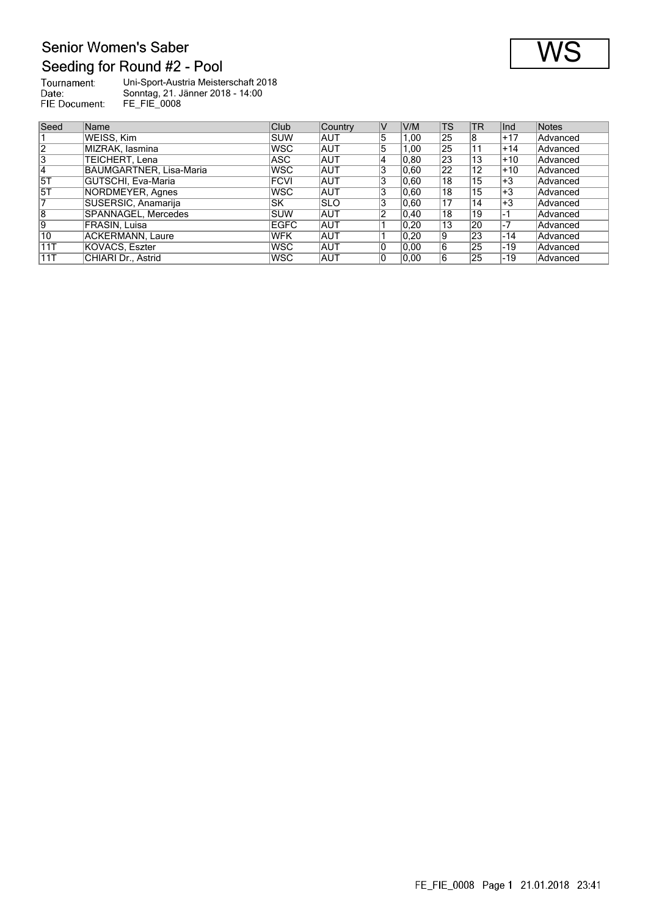### Senior Women's Saber Seeding for Round #2 - Pool

| Tournament:   | Uni-Sport-Austria Meisterschaft 2018 |
|---------------|--------------------------------------|
| Date:         | Sonntag, 21. Jänner 2018 - 14:00     |
| FIE Document: | FE FIE 0008                          |

| Seed      | Name                           | Club        | Country    | IV | V/M            | TS | TR | llnd. | Notes           |
|-----------|--------------------------------|-------------|------------|----|----------------|----|----|-------|-----------------|
|           | WEISS, Kim                     | ISUW        | AUT        | 5  | 1,00           | 25 | 8  | $+17$ | Advanced        |
| 12        | MIZRAK, lasmina                | <b>WSC</b>  | <b>AUT</b> | 5  | 1,00           | 25 | 11 | $+14$ | Advanced        |
| 13        | TEICHERT, Lena                 | ASC.        | AUT        | 4  | 0.80           | 23 | 13 | $+10$ | Advanced        |
| 14        | <b>BAUMGARTNER, Lisa-Maria</b> | <b>WSC</b>  | <b>AUT</b> | 3  | 0,60           | 22 | 12 | $+10$ | Advanced        |
| <b>5T</b> | GUTSCHI, Eva-Maria             | <b>FCVI</b> | <b>AUT</b> | 3  | 0.60           | 18 | 15 | $+3$  | Advanced        |
| 15T       | NORDMEYER, Agnes               | <b>WSC</b>  | <b>AUT</b> | 3  | 0.60           | 18 | 15 | '+3   | Advanced        |
|           | SUSERSIC, Anamarija            | lsk.        | <b>SLO</b> | 3  | 0.60           | 17 | 14 | $+3$  | Advanced        |
| 8         | SPANNAGEL, Mercedes            | ISUW        | <b>AUT</b> | 2  | $ 0,40\rangle$ | 18 | 19 | -1    | Advanced        |
| 19        | FRASIN, Luisa                  | EGFC        | <b>AUT</b> |    | 0,20           | 13 | 20 | $-7$  | Advanced        |
| 10        | <b>ACKERMANN, Laure</b>        | <b>WFK</b>  | AUT        |    | 0.20           | 9  | 23 | -14   | <b>Advanced</b> |
| 11T       | KOVACS, Eszter                 | <b>WSC</b>  | <b>AUT</b> | 0  | 0.00           | 6  | 25 | -19   | Advanced        |
| 11T       | CHIARI Dr., Astrid             | lWSC.       | <b>AUT</b> |    | 0.00           | 6  | 25 | -19   | Advanced        |

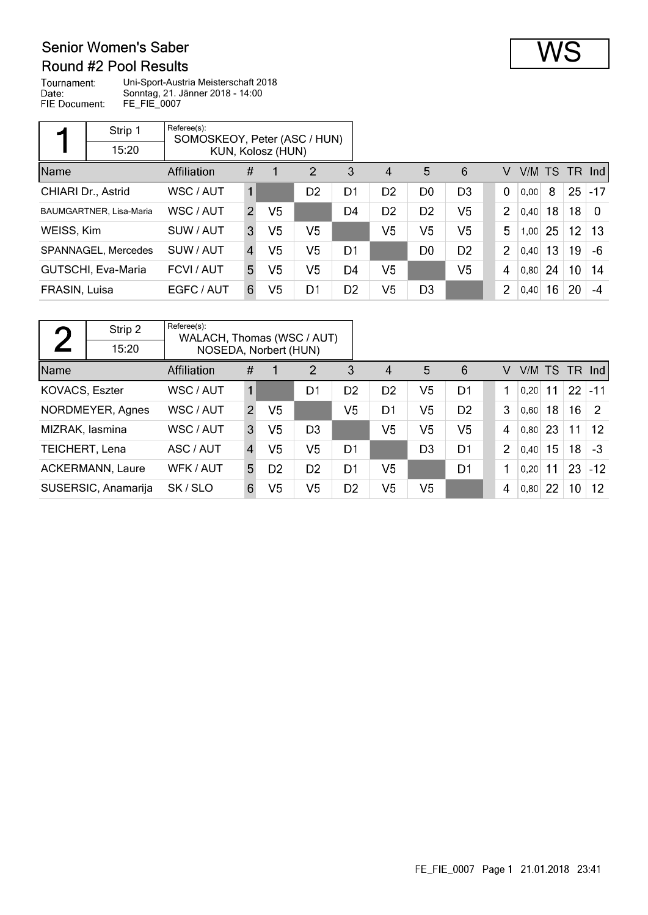#### Senior Women's Saber Round #2 Pool Results

Tournament: Uni-Sport-Austria Meisterschaft 2018 Date: Sonntag, 21. Jänner 2018 - 14:00 FIE Document: FE\_FIE\_0007

|               | Strip 1                 | Referee(s):<br>SOMOSKEOY, Peter (ASC / HUN) |                |                   |                |                |                |                |                |  |                |           |    |                 |          |
|---------------|-------------------------|---------------------------------------------|----------------|-------------------|----------------|----------------|----------------|----------------|----------------|--|----------------|-----------|----|-----------------|----------|
|               | 15:20                   |                                             |                | KUN, Kolosz (HUN) |                |                |                |                |                |  |                |           |    |                 |          |
| Name          |                         | Affiliation                                 | #              |                   | $\overline{2}$ | 3              | $\overline{4}$ | 5              | 6              |  | V              | V/M TS TR |    |                 | nd       |
|               | CHIARI Dr., Astrid      | WSC / AUT                                   | $\mathbf{1}$   |                   | D <sub>2</sub> | D <sub>1</sub> | D <sub>2</sub> | D <sub>0</sub> | D <sub>3</sub> |  | $\mathbf 0$    | 0,00      | 8  | 25              | $-17$    |
|               | BAUMGARTNER, Lisa-Maria | WSC / AUT                                   | $\mathcal{P}$  | V5                |                | D4             | D <sub>2</sub> | D <sub>2</sub> | V <sub>5</sub> |  | 2              | 0,40      | 18 | 18              | $\Omega$ |
| WEISS, Kim    |                         | SUW / AUT                                   | 3              | V5                | V <sub>5</sub> |                | V <sub>5</sub> | V <sub>5</sub> | V <sub>5</sub> |  | 5              | 1,00      | 25 | 12 <sub>2</sub> | -13      |
|               | SPANNAGEL, Mercedes     | SUW / AUT                                   | $\overline{4}$ | V5                | V <sub>5</sub> | D1             |                | D <sub>0</sub> | D <sub>2</sub> |  | 2              | 0,40      | 13 | 19              | -6       |
|               | GUTSCHI, Eva-Maria      | FCVI / AUT                                  | 5.             | V5                | V <sub>5</sub> | D4             | V <sub>5</sub> |                | V <sub>5</sub> |  | 4              | 0,80      | 24 | 10 <sup>°</sup> | 14       |
| FRASIN, Luisa |                         | EGFC / AUT                                  | 6              | V5                | D1             | D <sub>2</sub> | V <sub>5</sub> | D <sub>3</sub> |                |  | $\overline{2}$ | 0,40      | 16 | 20              | $-4$     |

| n                     | Strip 2                 | Referee(s):<br>WALACH, Thomas (WSC / AUT) |                |                |                |                |                |                |                |                |        |    |                 |               |
|-----------------------|-------------------------|-------------------------------------------|----------------|----------------|----------------|----------------|----------------|----------------|----------------|----------------|--------|----|-----------------|---------------|
|                       | 15:20                   | NOSEDA, Norbert (HUN)                     |                |                |                |                |                |                |                |                |        |    |                 |               |
| Name                  |                         | Affiliation                               | #              |                | $\overline{2}$ | 3              | 4              | 5              | 6              | V              | V/M TS |    | TR.             | Ind           |
| KOVACS, Eszter        |                         | WSC / AUT                                 |                |                | D1             | D <sub>2</sub> | D <sub>2</sub> | V5             | D1             |                | 0.20   | 11 | 22 <sub>2</sub> | $ -11$        |
|                       | NORDMEYER, Agnes        | WSC / AUT                                 | $\mathcal{P}$  | V5             |                | V5             | D1             | V <sub>5</sub> | D <sub>2</sub> | 3              | 0,60   | 18 | 16 <sup>°</sup> | $\mathcal{P}$ |
| MIZRAK, lasmina       |                         | WSC / AUT                                 | 3              | V <sub>5</sub> | D <sub>3</sub> |                | V5             | V <sub>5</sub> | V <sub>5</sub> | 4              | 0,80   | 23 | 11              | 12            |
| <b>TEICHERT, Lena</b> |                         | ASC / AUT                                 | $\overline{4}$ | V <sub>5</sub> | V <sub>5</sub> | D1             |                | D3             | D1             | $\overline{2}$ | 0,40   | 15 | 18              | $-3$          |
|                       | <b>ACKERMANN, Laure</b> | WFK / AUT                                 | 5.             | D <sub>2</sub> | D <sub>2</sub> | D1             | V5             |                | D <sub>1</sub> | 1              | 0,20   | 11 | 23              | $-12$         |
|                       | SUSERSIC, Anamarija     | SK/SLO                                    | 6              | V5             | V <sub>5</sub> | D <sub>2</sub> | V5             | V5             |                | 4              | 0,80   | 22 | 10              | $12 \,$       |

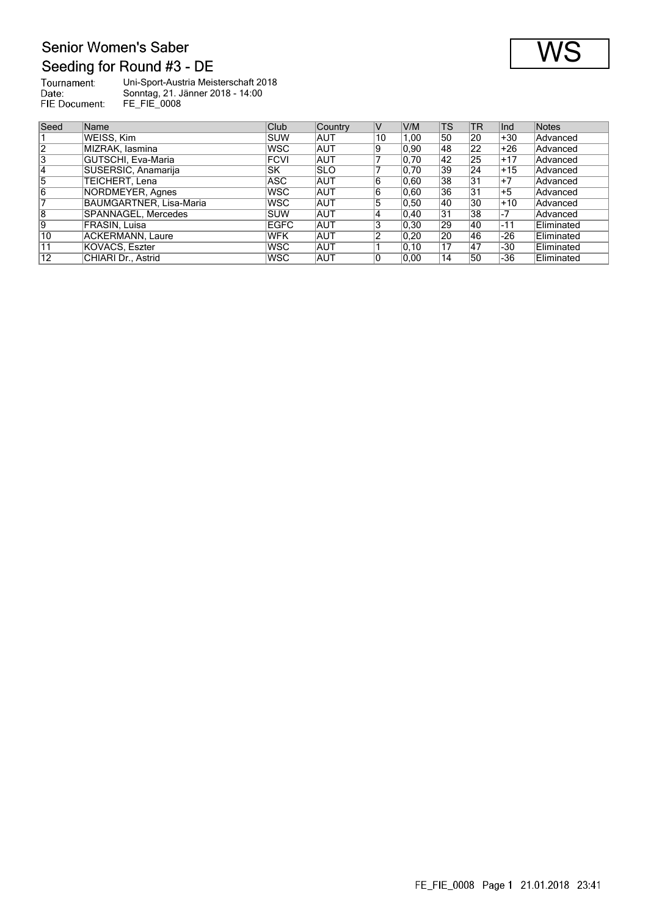# Senior Women's Saber Seeding for Round #3 - DE

| Tournament:   | Uni-Sport-Austria Meisterschaft 2018 |
|---------------|--------------------------------------|
| Date:         | Sonntag, 21. Jänner 2018 - 14:00     |
| FIE Document: | <b>FE FIE 0008</b>                   |

| Seed           | Name                    | Club        | <b>Country</b> | IV | V/M            | TS | <b>TR</b>       | Ind   | Notes             |
|----------------|-------------------------|-------------|----------------|----|----------------|----|-----------------|-------|-------------------|
|                | WEISS. Kim              | Isuw        | <b>AUT</b>     | 10 | 1.00           | 50 | 20              | +30   | Advanced          |
| $\overline{2}$ | MIZRAK, Iasmina         | WSC         | <b>AUT</b>     | 19 | 0.90           | 48 | 22              | +26   | Advanced          |
| 3              | GUTSCHI, Eva-Maria      | <b>FCVI</b> | <b>AUT</b>     |    | 0,70           | 42 | 25              | $+17$ | Advanced          |
| 14             | SUSERSIC, Anamarija     | lsk         | <b>ISLO</b>    |    | 0.70           | 39 | 24              | $+15$ | Advanced          |
| 15             | TEICHERT, Lena          | ASC         | <b>AUT</b>     | 16 | 0,60           | 38 | 31              | $+7$  | Advanced          |
| 16             | NORDMEYER, Agnes        | lwsc        | <b>AUT</b>     | 16 | 0.60           | 36 | 31              | $+5$  | Advanced          |
|                | BAUMGARTNER, Lisa-Maria | lwsc        | <b>AUT</b>     | 15 | 0.50           | 40 | 30              | $+10$ | Advanced          |
| $\overline{8}$ | SPANNAGEL, Mercedes     | ISUW        | <b>AUT</b>     | 14 | $ 0,40\rangle$ | 31 | 38              | -7    | Advanced          |
| 19             | FRASIN, Luisa           | <b>EGFC</b> | <b>AUT</b>     | 13 | $ 0,30\rangle$ | 29 | 40              | $-11$ | <b>Eliminated</b> |
| 10             | ACKERMANN, Laure        | <b>WFK</b>  | <b>AUT</b>     |    | 0.20           | 20 | 46              | -26   | Eliminated        |
| 11             | KOVACS, Eszter          | <b>WSC</b>  | <b>AUT</b>     |    | 0, 10          | 17 | $\overline{47}$ | -30   | Eliminated        |
| 12             | CHIARI Dr., Astrid      | WSC         | <b>AUT</b>     | 10 | 0.00           | 14 | 50              | -36   | Eliminated        |

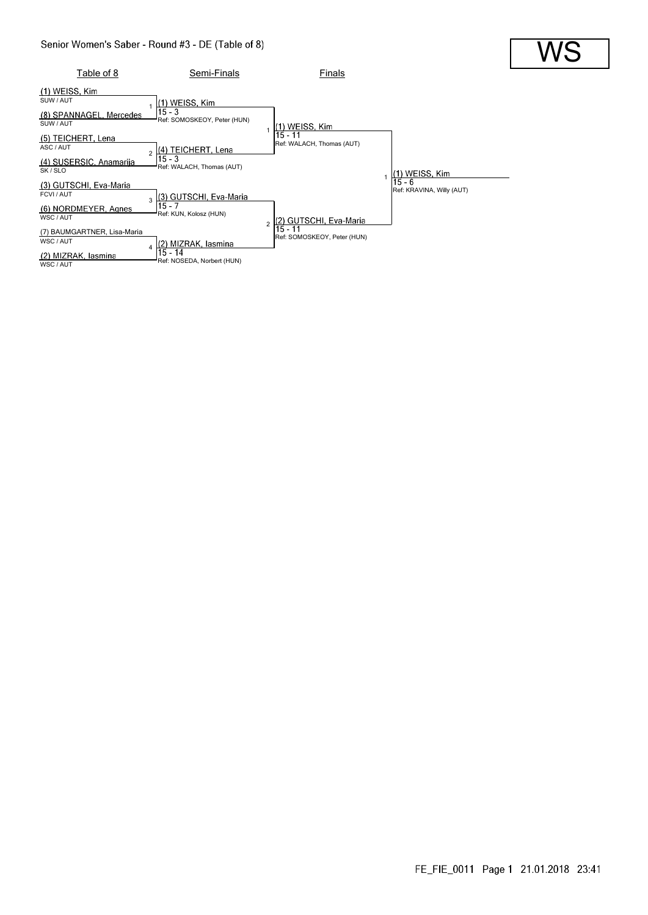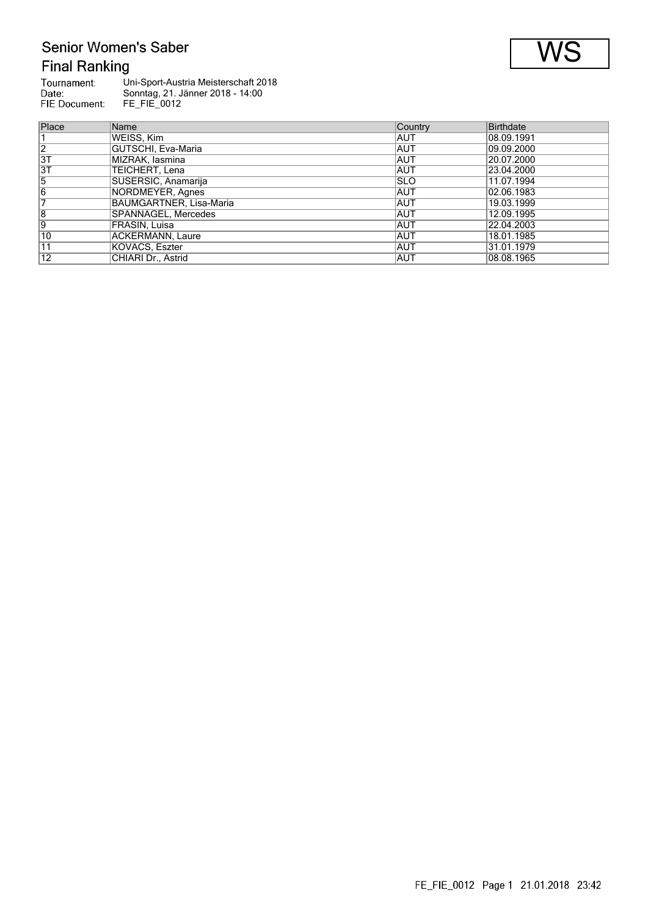# Senior Women's Saber **Final Ranking**

| Tournament:   | Uni-Sport-Austria Meisterschaft 2018 |
|---------------|--------------------------------------|
| Date:         | Sonntag, 21. Jänner 2018 - 14:00     |
| FIE Document: | FE FIE 0012                          |
|               |                                      |

| Place           | Name                    | Country     | Birthdate   |
|-----------------|-------------------------|-------------|-------------|
|                 | WEISS, Kim              | IAUT        | 08.09.1991  |
| $\overline{2}$  | GUTSCHI, Eva-Maria      | <b>AUT</b>  | 109.09.2000 |
| 3T              | MIZRAK, lasmina         | <b>AUT</b>  | 20.07.2000  |
| 3T              | TEICHERT. Lena          | <b>AUT</b>  | 23.04.2000  |
| 5               | SUSERSIC, Anamarija     | <b>ISLO</b> | 11.07.1994  |
| 6               | NORDMEYER, Agnes        | <b>AUT</b>  | 02.06.1983  |
|                 | BAUMGARTNER, Lisa-Maria | IAUT        | 19.03.1999  |
| 8               | SPANNAGEL, Mercedes     | <b>AUT</b>  | 12.09.1995  |
| 9               | FRASIN, Luisa           | <b>AUT</b>  | 22.04.2003  |
| $\overline{10}$ | ACKERMANN, Laure        | IAUT        | 18.01.1985  |
| $\overline{1}1$ | KOVACS, Eszter          | <b>AUT</b>  | 31.01.1979  |
| 12              | CHIARI Dr., Astrid      | ∣AUT        | 08.08.1965  |